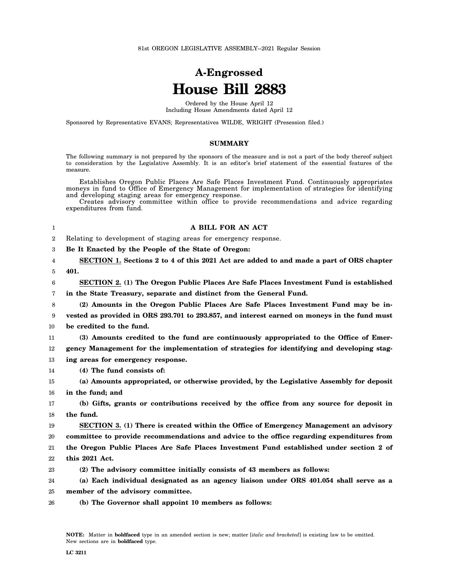## **A-Engrossed House Bill 2883**

Ordered by the House April 12 Including House Amendments dated April 12

Sponsored by Representative EVANS; Representatives WILDE, WRIGHT (Presession filed.)

## **SUMMARY**

The following summary is not prepared by the sponsors of the measure and is not a part of the body thereof subject to consideration by the Legislative Assembly. It is an editor's brief statement of the essential features of the measure.

Establishes Oregon Public Places Are Safe Places Investment Fund. Continuously appropriates moneys in fund to Office of Emergency Management for implementation of strategies for identifying and developing staging areas for emergency response.

Creates advisory committee within office to provide recommendations and advice regarding expenditures from fund.

## **A BILL FOR AN ACT**

2 Relating to development of staging areas for emergency response.

3 **Be It Enacted by the People of the State of Oregon:**

4 5 **SECTION 1. Sections 2 to 4 of this 2021 Act are added to and made a part of ORS chapter 401.**

6 7 **SECTION 2. (1) The Oregon Public Places Are Safe Places Investment Fund is established in the State Treasury, separate and distinct from the General Fund.**

8 9 10 **(2) Amounts in the Oregon Public Places Are Safe Places Investment Fund may be invested as provided in ORS 293.701 to 293.857, and interest earned on moneys in the fund must be credited to the fund.**

11 12 **(3) Amounts credited to the fund are continuously appropriated to the Office of Emergency Management for the implementation of strategies for identifying and developing stag-**

13 **ing areas for emergency response.**

14 **(4) The fund consists of:**

1

15 16 **(a) Amounts appropriated, or otherwise provided, by the Legislative Assembly for deposit in the fund; and**

17 18 **(b) Gifts, grants or contributions received by the office from any source for deposit in the fund.**

19 **SECTION 3. (1) There is created within the Office of Emergency Management an advisory**

20 **committee to provide recommendations and advice to the office regarding expenditures from**

21 22 **the Oregon Public Places Are Safe Places Investment Fund established under section 2 of this 2021 Act.**

23 **(2) The advisory committee initially consists of 43 members as follows:**

24 25 **(a) Each individual designated as an agency liaison under ORS 401.054 shall serve as a member of the advisory committee.**

26 **(b) The Governor shall appoint 10 members as follows:**